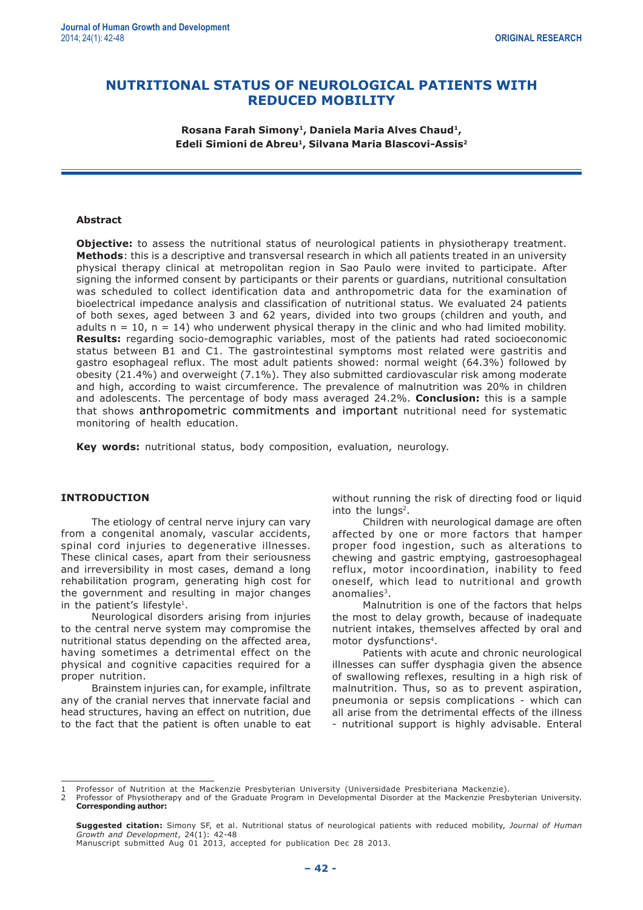# **NUTRITIONAL STATUS OF NEUROLOGICAL PATIENTS WITH REDUCED MOBILITY**

**Rosana Farah Simony1, Daniela Maria Alves Chaud1, Edeli Simioni de Abreu1, Silvana Maria Blascovi-Assis2**

## **Abstract**

**Objective:** to assess the nutritional status of neurological patients in physiotherapy treatment. **Methods**: this is a descriptive and transversal research in which all patients treated in an university physical therapy clinical at metropolitan region in Sao Paulo were invited to participate. After signing the informed consent by participants or their parents or guardians, nutritional consultation was scheduled to collect identification data and anthropometric data for the examination of bioelectrical impedance analysis and classification of nutritional status. We evaluated 24 patients of both sexes, aged between 3 and 62 years, divided into two groups (children and youth, and adults  $n = 10$ ,  $n = 14$ ) who underwent physical therapy in the clinic and who had limited mobility. **Results:** regarding socio-demographic variables, most of the patients had rated socioeconomic status between B1 and C1. The gastrointestinal symptoms most related were gastritis and gastro esophageal reflux. The most adult patients showed: normal weight (64.3%) followed by obesity (21.4%) and overweight (7.1%). They also submitted cardiovascular risk among moderate and high, according to waist circumference. The prevalence of malnutrition was 20% in children and adolescents. The percentage of body mass averaged 24.2%. **Conclusion:** this is a sample that shows anthropometric commitments and important nutritional need for systematic monitoring of health education.

**Key words:** nutritional status, body composition, evaluation, neurology.

#### **INTRODUCTION**

The etiology of central nerve injury can vary from a congenital anomaly, vascular accidents, spinal cord injuries to degenerative illnesses. These clinical cases, apart from their seriousness and irreversibility in most cases, demand a long rehabilitation program, generating high cost for the government and resulting in major changes in the patient's lifestyle<sup>1</sup>.

Neurological disorders arising from injuries to the central nerve system may compromise the nutritional status depending on the affected area, having sometimes a detrimental effect on the physical and cognitive capacities required for a proper nutrition.

Brainstem injuries can, for example, infiltrate any of the cranial nerves that innervate facial and head structures, having an effect on nutrition, due to the fact that the patient is often unable to eat without running the risk of directing food or liquid into the lungs<sup>2</sup>.

Children with neurological damage are often affected by one or more factors that hamper proper food ingestion, such as alterations to chewing and gastric emptying, gastroesophageal reflux, motor incoordination, inability to feed oneself, which lead to nutritional and growth anomalies<sup>3</sup>.

Malnutrition is one of the factors that helps the most to delay growth, because of inadequate nutrient intakes, themselves affected by oral and motor dysfunctions4.

Patients with acute and chronic neurological illnesses can suffer dysphagia given the absence of swallowing reflexes, resulting in a high risk of malnutrition. Thus, so as to prevent aspiration, pneumonia or sepsis complications - which can all arise from the detrimental effects of the illness - nutritional support is highly advisable. Enteral

**Suggested citation:** Simony SF, et al. Nutritional status of neurological patients with reduced mobility, *Journal of Human Growth and Development*, 24(1): 42-48 Manuscript submitted Aug 01 2013, accepted for publication Dec 28 2013.

<sup>1</sup> Professor of Nutrition at the Mackenzie Presbyterian University (Universidade Presbiteriana Mackenzie).

<sup>2</sup> Professor of Physiotherapy and of the Graduate Program in Developmental Disorder at the Mackenzie Presbyterian University. **Corresponding author:**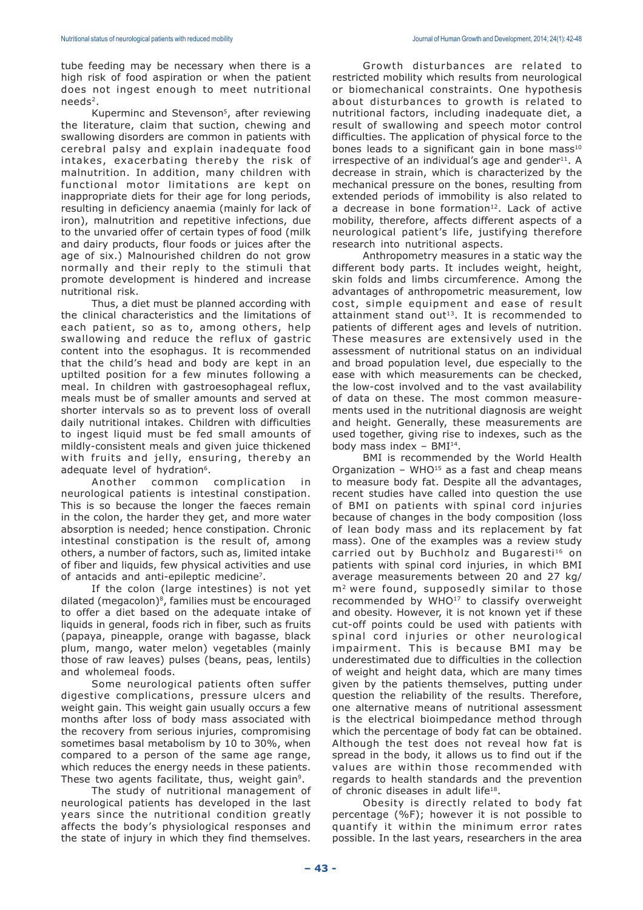tube feeding may be necessary when there is a high risk of food aspiration or when the patient does not ingest enough to meet nutritional needs2.

Kuperminc and Stevenson<sup>5</sup>, after reviewing the literature, claim that suction, chewing and swallowing disorders are common in patients with cerebral palsy and explain inadequate food intakes, exacerbating thereby the risk of malnutrition. In addition, many children with functional motor limitations are kept on inappropriate diets for their age for long periods, resulting in deficiency anaemia (mainly for lack of iron), malnutrition and repetitive infections, due to the unvaried offer of certain types of food (milk and dairy products, flour foods or juices after the age of six.) Malnourished children do not grow normally and their reply to the stimuli that promote development is hindered and increase nutritional risk.

Thus, a diet must be planned according with the clinical characteristics and the limitations of each patient, so as to, among others, help swallowing and reduce the reflux of gastric content into the esophagus. It is recommended that the child's head and body are kept in an uptilted position for a few minutes following a meal. In children with gastroesophageal reflux, meals must be of smaller amounts and served at shorter intervals so as to prevent loss of overall daily nutritional intakes. Children with difficulties to ingest liquid must be fed small amounts of mildly-consistent meals and given juice thickened with fruits and jelly, ensuring, thereby an adequate level of hydration<sup>6</sup>.

Another common complication in neurological patients is intestinal constipation. This is so because the longer the faeces remain in the colon, the harder they get, and more water absorption is needed; hence constipation. Chronic intestinal constipation is the result of, among others, a number of factors, such as, limited intake of fiber and liquids, few physical activities and use of antacids and anti-epileptic medicine7.

If the colon (large intestines) is not yet dilated (megacolon)<sup>8</sup>, families must be encouraged to offer a diet based on the adequate intake of liquids in general, foods rich in fiber, such as fruits (papaya, pineapple, orange with bagasse, black plum, mango, water melon) vegetables (mainly those of raw leaves) pulses (beans, peas, lentils) and wholemeal foods.

Some neurological patients often suffer digestive complications, pressure ulcers and weight gain. This weight gain usually occurs a few months after loss of body mass associated with the recovery from serious injuries, compromising sometimes basal metabolism by 10 to 30%, when compared to a person of the same age range, which reduces the energy needs in these patients. These two agents facilitate, thus, weight gain<sup>9</sup>.

The study of nutritional management of neurological patients has developed in the last years since the nutritional condition greatly affects the body's physiological responses and the state of injury in which they find themselves.

Growth disturbances are related to restricted mobility which results from neurological or biomechanical constraints. One hypothesis about disturbances to growth is related to nutritional factors, including inadequate diet, a result of swallowing and speech motor control difficulties. The application of physical force to the bones leads to a significant gain in bone mass $10$  $irrespective of an individual's age and gender<sup>11</sup>. A$ decrease in strain, which is characterized by the mechanical pressure on the bones, resulting from extended periods of immobility is also related to a decrease in bone formation $12$ . Lack of active mobility, therefore, affects different aspects of a neurological patient's life, justifying therefore research into nutritional aspects.

Anthropometry measures in a static way the different body parts. It includes weight, height, skin folds and limbs circumference. Among the advantages of anthropometric measurement, low cost, simple equipment and ease of result attainment stand out<sup>13</sup>. It is recommended to patients of different ages and levels of nutrition. These measures are extensively used in the assessment of nutritional status on an individual and broad population level, due especially to the ease with which measurements can be checked, the low-cost involved and to the vast availability of data on these. The most common measurements used in the nutritional diagnosis are weight and height. Generally, these measurements are used together, giving rise to indexes, such as the body mass index  $-$  BMI<sup>14</sup>.

BMI is recommended by the World Health Organization – WHO $15$  as a fast and cheap means to measure body fat. Despite all the advantages, recent studies have called into question the use of BMI on patients with spinal cord injuries because of changes in the body composition (loss of lean body mass and its replacement by fat mass). One of the examples was a review study carried out by Buchholz and Bugaresti<sup>16</sup> on patients with spinal cord injuries, in which BMI average measurements between 20 and 27 kg/ m2 were found, supposedly similar to those recommended by WHO<sup>17</sup> to classify overweight and obesity. However, it is not known yet if these cut-off points could be used with patients with spinal cord injuries or other neurological impairment. This is because BMI may be underestimated due to difficulties in the collection of weight and height data, which are many times given by the patients themselves, putting under question the reliability of the results. Therefore, one alternative means of nutritional assessment is the electrical bioimpedance method through which the percentage of body fat can be obtained. Although the test does not reveal how fat is spread in the body, it allows us to find out if the values are within those recommended with regards to health standards and the prevention of chronic diseases in adult life<sup>18</sup>.

Obesity is directly related to body fat percentage (%F); however it is not possible to quantify it within the minimum error rates possible. In the last years, researchers in the area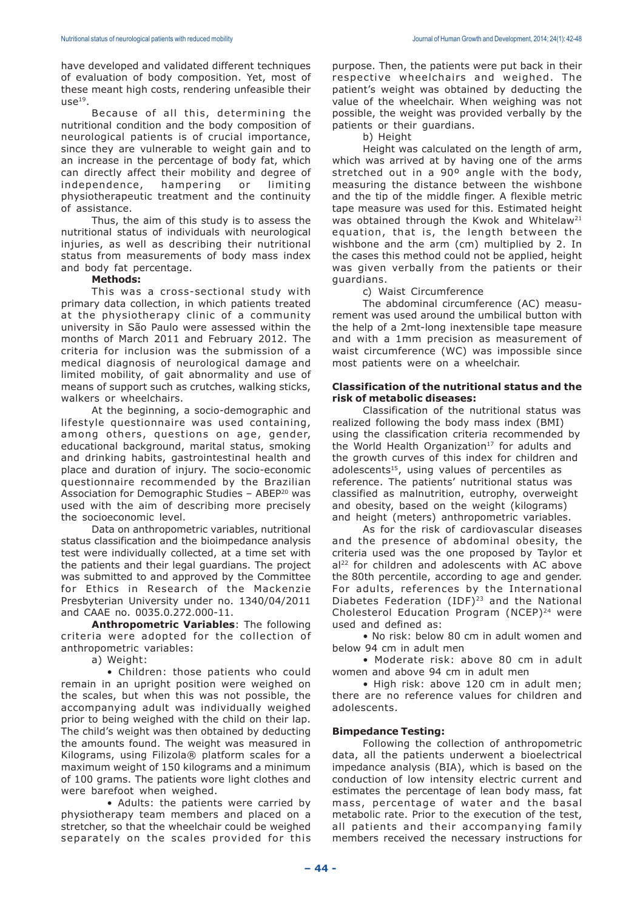have developed and validated different techniques of evaluation of body composition. Yet, most of these meant high costs, rendering unfeasible their  $use<sup>19</sup>$ .

Because of all this, determining the nutritional condition and the body composition of neurological patients is of crucial importance, since they are vulnerable to weight gain and to an increase in the percentage of body fat, which can directly affect their mobility and degree of independence, hampering or limiting physiotherapeutic treatment and the continuity of assistance.

Thus, the aim of this study is to assess the nutritional status of individuals with neurological injuries, as well as describing their nutritional status from measurements of body mass index and body fat percentage.

## **Methods:**

This was a cross-sectional study with primary data collection, in which patients treated at the physiotherapy clinic of a community university in São Paulo were assessed within the months of March 2011 and February 2012. The criteria for inclusion was the submission of a medical diagnosis of neurological damage and limited mobility, of gait abnormality and use of means of support such as crutches, walking sticks, walkers or wheelchairs.

At the beginning, a socio-demographic and lifestyle questionnaire was used containing, among others, questions on age, gender, educational background, marital status, smoking and drinking habits, gastrointestinal health and place and duration of injury. The socio-economic questionnaire recommended by the Brazilian Association for Demographic Studies - ABEP<sup>20</sup> was used with the aim of describing more precisely the socioeconomic level.

Data on anthropometric variables, nutritional status classification and the bioimpedance analysis test were individually collected, at a time set with the patients and their legal guardians. The project was submitted to and approved by the Committee for Ethics in Research of the Mackenzie Presbyterian University under no. 1340/04/2011 and CAAE no. 0035.0.272.000-11.

**Anthropometric Variables**: The following criteria were adopted for the collection of anthropometric variables:

a) Weight:

• Children: those patients who could remain in an upright position were weighed on the scales, but when this was not possible, the accompanying adult was individually weighed prior to being weighed with the child on their lap. The child's weight was then obtained by deducting the amounts found. The weight was measured in Kilograms, using Filizola® platform scales for a maximum weight of 150 kilograms and a minimum of 100 grams. The patients wore light clothes and were barefoot when weighed.

• Adults: the patients were carried by physiotherapy team members and placed on a stretcher, so that the wheelchair could be weighed separately on the scales provided for this

purpose. Then, the patients were put back in their respective wheelchairs and weighed. The patient's weight was obtained by deducting the value of the wheelchair. When weighing was not possible, the weight was provided verbally by the patients or their guardians.

b) Height

Height was calculated on the length of arm, which was arrived at by having one of the arms stretched out in a 90° angle with the body, measuring the distance between the wishbone and the tip of the middle finger. A flexible metric tape measure was used for this. Estimated height was obtained through the Kwok and Whitelaw<sup>21</sup> equation, that is, the length between the wishbone and the arm (cm) multiplied by 2. In the cases this method could not be applied, height was given verbally from the patients or their guardians.

c) Waist Circumference

The abdominal circumference (AC) measurement was used around the umbilical button with the help of a 2mt-long inextensible tape measure and with a 1mm precision as measurement of waist circumference (WC) was impossible since most patients were on a wheelchair.

## **Classification of the nutritional status and the risk of metabolic diseases:**

Classification of the nutritional status was realized following the body mass index (BMI) using the classification criteria recommended by the World Health Organization<sup>17</sup> for adults and the growth curves of this index for children and adolescents<sup>15</sup>, using values of percentiles as reference. The patients' nutritional status was classified as malnutrition, eutrophy, overweight and obesity, based on the weight (kilograms) and height (meters) anthropometric variables.

As for the risk of cardiovascular diseases and the presence of abdominal obesity, the criteria used was the one proposed by Taylor et al<sup>22</sup> for children and adolescents with AC above the 80th percentile, according to age and gender. For adults, references by the International Diabetes Federation (IDF)<sup>23</sup> and the National Cholesterol Education Program (NCEP)24 were used and defined as:

• No risk: below 80 cm in adult women and below 94 cm in adult men

• Moderate risk: above 80 cm in adult women and above 94 cm in adult men

• High risk: above 120 cm in adult men; there are no reference values for children and adolescents.

#### **Bimpedance Testing:**

Following the collection of anthropometric data, all the patients underwent a bioelectrical impedance analysis (BIA), which is based on the conduction of low intensity electric current and estimates the percentage of lean body mass, fat mass, percentage of water and the basal metabolic rate. Prior to the execution of the test, all patients and their accompanying family members received the necessary instructions for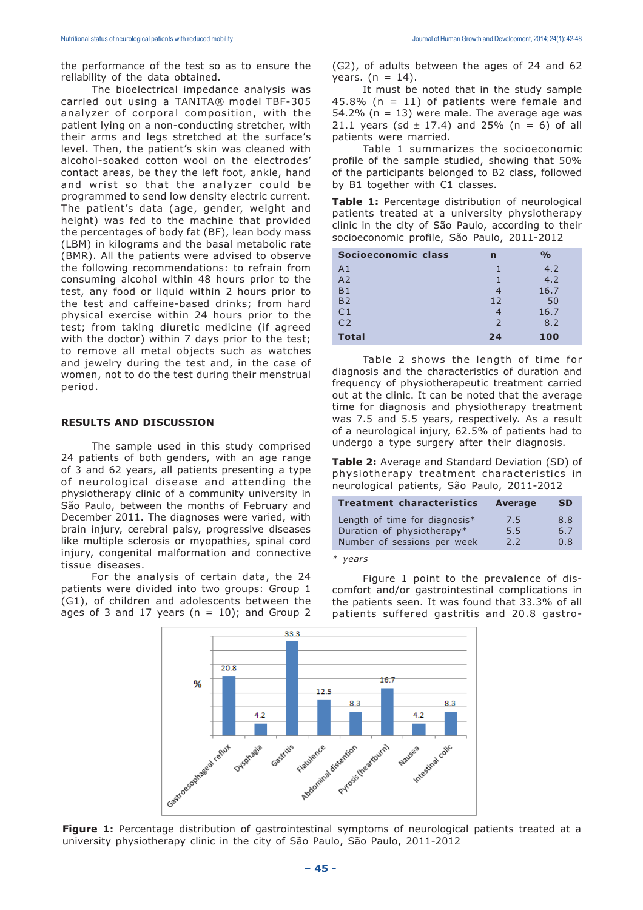the performance of the test so as to ensure the reliability of the data obtained.

The bioelectrical impedance analysis was carried out using a TANITA® model TBF-305 analyzer of corporal composition, with the patient lying on a non-conducting stretcher, with their arms and legs stretched at the surface's level. Then, the patient's skin was cleaned with alcohol-soaked cotton wool on the electrodes' contact areas, be they the left foot, ankle, hand and wrist so that the analyzer could be programmed to send low density electric current. The patient's data (age, gender, weight and height) was fed to the machine that provided the percentages of body fat (BF), lean body mass (LBM) in kilograms and the basal metabolic rate (BMR). All the patients were advised to observe the following recommendations: to refrain from consuming alcohol within 48 hours prior to the test, any food or liquid within 2 hours prior to the test and caffeine-based drinks; from hard physical exercise within 24 hours prior to the test; from taking diuretic medicine (if agreed with the doctor) within 7 days prior to the test; to remove all metal objects such as watches and jewelry during the test and, in the case of women, not to do the test during their menstrual period.

## **RESULTS AND DISCUSSION**

The sample used in this study comprised 24 patients of both genders, with an age range of 3 and 62 years, all patients presenting a type of neurological disease and attending the physiotherapy clinic of a community university in São Paulo, between the months of February and December 2011. The diagnoses were varied, with brain injury, cerebral palsy, progressive diseases like multiple sclerosis or myopathies, spinal cord injury, congenital malformation and connective tissue diseases.

For the analysis of certain data, the 24 patients were divided into two groups: Group 1 (G1), of children and adolescents between the ages of 3 and 17 years ( $n = 10$ ); and Group 2

(G2), of adults between the ages of 24 and 62 years. ( $n = 14$ ).

It must be noted that in the study sample 45.8% ( $n = 11$ ) of patients were female and 54.2% ( $n = 13$ ) were male. The average age was 21.1 years (sd  $\pm$  17.4) and 25% (n = 6) of all patients were married.

Table 1 summarizes the socioeconomic profile of the sample studied, showing that 50% of the participants belonged to B2 class, followed by B1 together with C1 classes.

**Table 1:** Percentage distribution of neurological patients treated at a university physiotherapy clinic in the city of São Paulo, according to their socioeconomic profile, São Paulo, 2011-2012

| Socioeconomic class | n              | $\frac{0}{0}$ |
|---------------------|----------------|---------------|
| A <sub>1</sub>      |                | 4.2           |
| A <sub>2</sub>      |                | 4.2           |
| B1                  |                | 16.7          |
| <b>B2</b>           | 12             | 50            |
| C <sub>1</sub>      | 4              | 16.7          |
| C <sub>2</sub>      | $\overline{2}$ | 8.2           |
| <b>Total</b>        | 24             | 100           |

Table 2 shows the length of time for diagnosis and the characteristics of duration and frequency of physiotherapeutic treatment carried out at the clinic. It can be noted that the average time for diagnosis and physiotherapy treatment was 7.5 and 5.5 years, respectively. As a result of a neurological injury, 62.5% of patients had to undergo a type surgery after their diagnosis.

**Table 2:** Average and Standard Deviation (SD) of physiotherapy treatment characteristics in neurological patients, São Paulo, 2011-2012

| <b>Treatment characteristics</b> | <b>Average</b> | <b>SD</b> |
|----------------------------------|----------------|-----------|
| Length of time for diagnosis*    | 7.5            | 8.8       |
| Duration of physiotherapy*       | 5.5            | 6.7       |
| Number of sessions per week      | $2.2^{\circ}$  | 0.8       |

*\* years*

Figure 1 point to the prevalence of discomfort and/or gastrointestinal complications in the patients seen. It was found that 33.3% of all patients suffered gastritis and 20.8 gastro-



**Figure 1:** Percentage distribution of gastrointestinal symptoms of neurological patients treated at a university physiotherapy clinic in the city of São Paulo, São Paulo, 2011-2012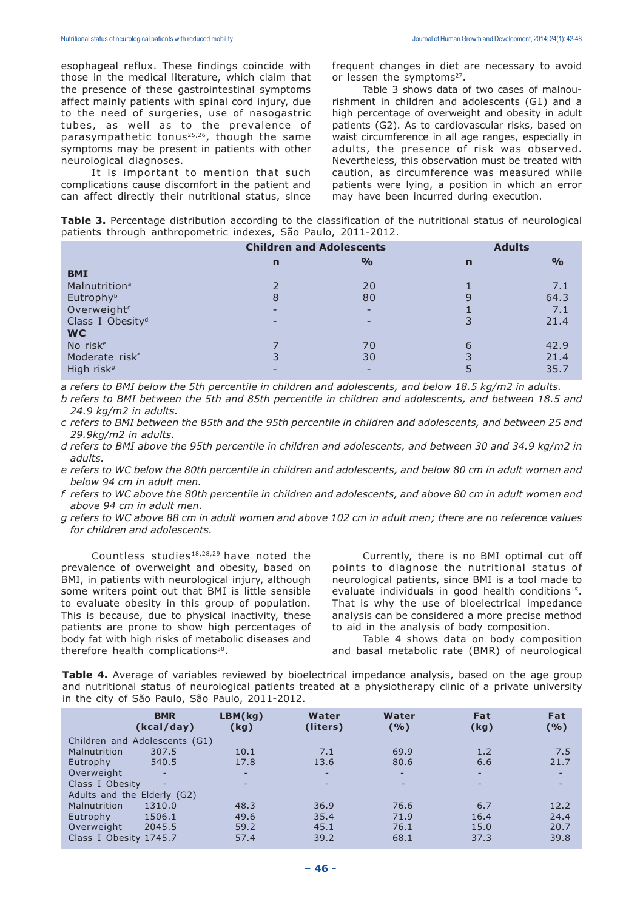esophageal reflux. These findings coincide with those in the medical literature, which claim that the presence of these gastrointestinal symptoms affect mainly patients with spinal cord injury, due to the need of surgeries, use of nasogastric tubes, as well as to the prevalence of parasympathetic tonus<sup>25,26</sup>, though the same symptoms may be present in patients with other neurological diagnoses.

It is important to mention that such complications cause discomfort in the patient and can affect directly their nutritional status, since

frequent changes in diet are necessary to avoid or lessen the symptoms<sup>27</sup>.

Table 3 shows data of two cases of malnourishment in children and adolescents (G1) and a high percentage of overweight and obesity in adult patients (G2). As to cardiovascular risks, based on waist circumference in all age ranges, especially in adults, the presence of risk was observed. Nevertheless, this observation must be treated with caution, as circumference was measured while patients were lying, a position in which an error may have been incurred during execution.

|  | <b>Table 3.</b> Percentage distribution according to the classification of the nutritional status of neurological |  |  |  |  |  |
|--|-------------------------------------------------------------------------------------------------------------------|--|--|--|--|--|
|  | patients through anthropometric indexes, São Paulo, 2011-2012.                                                    |  |  |  |  |  |

|                              | <b>Children and Adolescents</b> | <b>Adults</b>            |             |               |
|------------------------------|---------------------------------|--------------------------|-------------|---------------|
|                              | n                               | $\frac{6}{6}$            | $\mathbf n$ | $\frac{0}{0}$ |
| <b>BMI</b>                   |                                 |                          |             |               |
| Malnutrition <sup>a</sup>    | C,                              | 20                       |             | 7.1           |
| Eutrophy <sup>b</sup>        | 8                               | 80                       | 9           | 64.3          |
| Overweight <sup>c</sup>      |                                 | $\overline{\phantom{a}}$ |             | 7.1           |
| Class I Obesity <sup>d</sup> |                                 | $\overline{\phantom{0}}$ |             | 21.4          |
| <b>WC</b>                    |                                 |                          |             |               |
| No risk <sup>e</sup>         |                                 | 70                       | 6           | 42.9          |
| Moderate risk <sup>f</sup>   | 3                               | 30                       | 3           | 21.4          |
| High risk <sup>g</sup>       |                                 | $\overline{\phantom{0}}$ |             | 35.7          |

*a refers to BMI below the 5th percentile in children and adolescents, and below 18.5 kg/m2 in adults.*

*b refers to BMI between the 5th and 85th percentile in children and adolescents, and between 18.5 and 24.9 kg/m2 in adults.*

*c refers to BMI between the 85th and the 95th percentile in children and adolescents, and between 25 and 29.9kg/m2 in adults.*

*d refers to BMI above the 95th percentile in children and adolescents, and between 30 and 34.9 kg/m2 in adults.*

*e refers to WC below the 80th percentile in children and adolescents, and below 80 cm in adult women and below 94 cm in adult men.*

*f refers to WC above the 80th percentile in children and adolescents, and above 80 cm in adult women and above 94 cm in adult men.*

*g refers to WC above 88 cm in adult women and above 102 cm in adult men; there are no reference values for children and adolescents.*

Countless studies 18,28,29 have noted the prevalence of overweight and obesity, based on BMI, in patients with neurological injury, although some writers point out that BMI is little sensible to evaluate obesity in this group of population. This is because, due to physical inactivity, these patients are prone to show high percentages of body fat with high risks of metabolic diseases and therefore health complications<sup>30</sup>.

Currently, there is no BMI optimal cut off points to diagnose the nutritional status of neurological patients, since BMI is a tool made to evaluate individuals in good health conditions<sup>15</sup>. That is why the use of bioelectrical impedance analysis can be considered a more precise method to aid in the analysis of body composition.

Table 4 shows data on body composition and basal metabolic rate (BMR) of neurological

**Table 4.** Average of variables reviewed by bioelectrical impedance analysis, based on the age group and nutritional status of neurological patients treated at a physiotherapy clinic of a private university in the city of São Paulo, São Paulo, 2011-2012.

|                               | <b>BMR</b><br>(kcal/day) | LBM(kq)<br>(kg)          | Water<br>(liters)        | Water<br>(9/6) | Fat<br>(kg)              | Fat<br>( %) |  |  |  |
|-------------------------------|--------------------------|--------------------------|--------------------------|----------------|--------------------------|-------------|--|--|--|
| Children and Adolescents (G1) |                          |                          |                          |                |                          |             |  |  |  |
| Malnutrition                  | 307.5                    | 10.1                     | 7.1                      | 69.9           | 1.2                      | 7.5         |  |  |  |
| Eutrophy                      | 540.5                    | 17.8                     | 13.6                     | 80.6           | 6.6                      | 21.7        |  |  |  |
| Overweight                    | $\sim$                   | ٠                        | $\overline{\phantom{a}}$ | ۰              | $\overline{\phantom{a}}$ |             |  |  |  |
| Class I Obesity               |                          | $\overline{\phantom{a}}$ |                          | -              | -                        |             |  |  |  |
| Adults and the Elderly (G2)   |                          |                          |                          |                |                          |             |  |  |  |
| <b>Malnutrition</b>           | 1310.0                   | 48.3                     | 36.9                     | 76.6           | 6.7                      | 12.2        |  |  |  |
| Eutrophy                      | 1506.1                   | 49.6                     | 35.4                     | 71.9           | 16.4                     | 24.4        |  |  |  |
| Overweight                    | 2045.5                   | 59.2                     | 45.1                     | 76.1           | 15.0                     | 20.7        |  |  |  |
| Class I Obesity 1745.7        |                          | 57.4                     | 39.2                     | 68.1           | 37.3                     | 39.8        |  |  |  |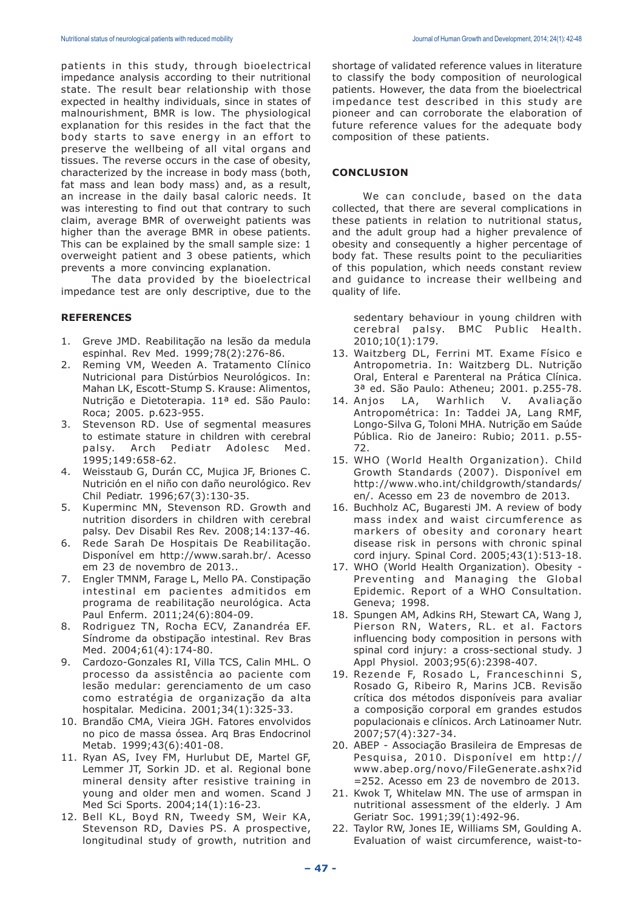patients in this study, through bioelectrical impedance analysis according to their nutritional state. The result bear relationship with those expected in healthy individuals, since in states of malnourishment, BMR is low. The physiological explanation for this resides in the fact that the body starts to save energy in an effort to preserve the wellbeing of all vital organs and tissues. The reverse occurs in the case of obesity, characterized by the increase in body mass (both, fat mass and lean body mass) and, as a result, an increase in the daily basal caloric needs. It was interesting to find out that contrary to such claim, average BMR of overweight patients was higher than the average BMR in obese patients. This can be explained by the small sample size: 1 overweight patient and 3 obese patients, which prevents a more convincing explanation.

The data provided by the bioelectrical impedance test are only descriptive, due to the

## **REFERENCES**

- 1. Greve JMD. Reabilitação na lesão da medula espinhal. Rev Med. 1999;78(2):276-86.
- 2. Reming VM, Weeden A. Tratamento Clínico Nutricional para Distúrbios Neurológicos. In: Mahan LK, Escott-Stump S. Krause: Alimentos, Nutrição e Dietoterapia. 11ª ed. São Paulo: Roca; 2005. p.623-955.
- 3. Stevenson RD. Use of segmental measures to estimate stature in children with cerebral palsy. Arch Pediatr Adolesc Med. 1995;149:658-62.
- 4. Weisstaub G, Durán CC, Mujica JF, Briones C. Nutrición en el niño con daño neurológico. Rev Chil Pediatr. 1996;67(3):130-35.
- 5. Kuperminc MN, Stevenson RD. Growth and nutrition disorders in children with cerebral palsy. Dev Disabil Res Rev. 2008;14:137-46.
- 6. Rede Sarah De Hospitais De Reabilitação. Disponível em http://www.sarah.br/. Acesso em 23 de novembro de 2013..
- 7. Engler TMNM, Farage L, Mello PA. Constipação intestinal em pacientes admitidos em programa de reabilitação neurológica. Acta Paul Enferm. 2011;24(6):804-09.
- 8. Rodriguez TN, Rocha ECV, Zanandréa EF. Síndrome da obstipação intestinal. Rev Bras Med. 2004;61(4):174-80.
- 9. Cardozo-Gonzales RI, Villa TCS, Calin MHL. O processo da assistência ao paciente com lesão medular: gerenciamento de um caso como estratégia de organização da alta hospitalar. Medicina. 2001;34(1):325-33.
- 10. Brandão CMA, Vieira JGH. Fatores envolvidos no pico de massa óssea. Arq Bras Endocrinol Metab. 1999;43(6):401-08.
- 11. Ryan AS, Ivey FM, Hurlubut DE, Martel GF, Lemmer JT, Sorkin JD. et al. Regional bone mineral density after resistive training in young and older men and women. Scand J Med Sci Sports. 2004;14(1):16-23.
- 12. Bell KL, Boyd RN, Tweedy SM, Weir KA, Stevenson RD, Davies PS. A prospective, longitudinal study of growth, nutrition and

shortage of validated reference values in literature to classify the body composition of neurological patients. However, the data from the bioelectrical impedance test described in this study are pioneer and can corroborate the elaboration of future reference values for the adequate body composition of these patients.

# **CONCLUSION**

We can conclude, based on the data collected, that there are several complications in these patients in relation to nutritional status, and the adult group had a higher prevalence of obesity and consequently a higher percentage of body fat. These results point to the peculiarities of this population, which needs constant review and guidance to increase their wellbeing and quality of life.

sedentary behaviour in young children with cerebral palsy. BMC Public Health. 2010;10(1):179.

- 13. Waitzberg DL, Ferrini MT. Exame Físico e Antropometria. In: Waitzberg DL. Nutrição Oral, Enteral e Parenteral na Prática Clínica. 3ª ed. São Paulo: Atheneu; 2001. p.255-78.
- 14. Anjos LA, Warhlich V. Avaliação Antropométrica: In: Taddei JA, Lang RMF, Longo-Silva G, Toloni MHA. Nutrição em Saúde Pública. Rio de Janeiro: Rubio; 2011. p.55- 72.
- 15. WHO (World Health Organization). Child Growth Standards (2007). Disponível em http://www.who.int/childgrowth/standards/ en/. Acesso em 23 de novembro de 2013.
- 16. Buchholz AC, Bugaresti JM. A review of body mass index and waist circumference as markers of obesity and coronary heart disease risk in persons with chronic spinal cord injury. Spinal Cord. 2005;43(1):513-18.
- 17. WHO (World Health Organization). Obesity Preventing and Managing the Global Epidemic. Report of a WHO Consultation. Geneva; 1998.
- 18. Spungen AM, Adkins RH, Stewart CA, Wang J, Pierson RN, Waters, RL. et al. Factors influencing body composition in persons with spinal cord injury: a cross-sectional study. J Appl Physiol. 2003;95(6):2398-407.
- 19. Rezende F, Rosado L, Franceschinni S, Rosado G, Ribeiro R, Marins JCB. Revisão crítica dos métodos disponíveis para avaliar a composição corporal em grandes estudos populacionais e clínicos. Arch Latinoamer Nutr. 2007;57(4):327-34.
- 20. ABEP Associação Brasileira de Empresas de Pesquisa, 2010. Disponível em http:// www.abep.org/novo/FileGenerate.ashx?id =252. Acesso em 23 de novembro de 2013.
- 21. Kwok T, Whitelaw MN. The use of armspan in nutritional assessment of the elderly. J Am Geriatr Soc. 1991;39(1):492-96.
- 22. Taylor RW, Jones IE, Williams SM, Goulding A. Evaluation of waist circumference, waist-to-